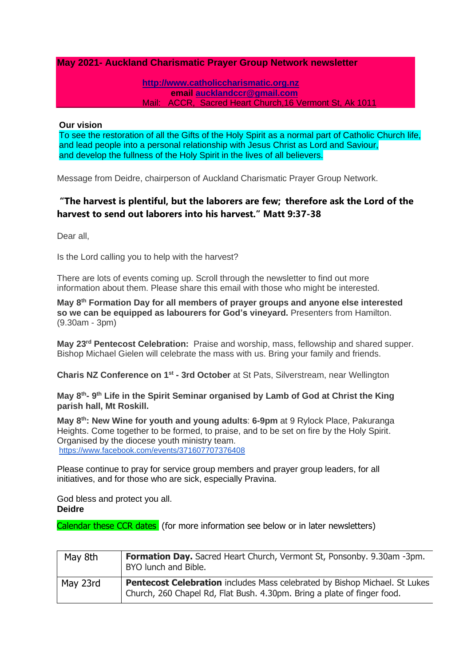## **May 2021- Auckland Charismatic Prayer Group Network newsletter**

#### **[http://www.catholiccharismatic.org.nz](http://www.catholiccharismatic.org.nz/)  email [aucklandccr@gmail.com](mailto:aucklandccr@gmail.com)** Mail: ACCR, Sacred Heart Church,16 Vermont St, Ak 1011

#### **Our vision**

To see the restoration of all the Gifts of the Holy Spirit as a normal part of Catholic Church life, and lead people into a personal relationship with Jesus Christ as Lord and Saviour, and develop the fullness of the Holy Spirit in the lives of all believers.

Message from Deidre, chairperson of Auckland Charismatic Prayer Group Network.

# **"The harvest is plentiful, but the laborers are few; therefore ask the Lord of the harvest to send out laborers into his harvest." Matt 9:37-38**

Dear all,

Is the Lord calling you to help with the harvest?

There are lots of events coming up. Scroll through the newsletter to find out more information about them. Please share this email with those who might be interested.

**May 8th Formation Day for all members of prayer groups and anyone else interested so we can be equipped as labourers for God's vineyard.** Presenters from Hamilton. (9.30am - 3pm)

**May 23rd Pentecost Celebration:** Praise and worship, mass, fellowship and shared supper. Bishop Michael Gielen will celebrate the mass with us. Bring your family and friends.

**Charis NZ Conference on 1st - 3rd October** at St Pats, Silverstream, near Wellington

May 8<sup>th</sup>-9<sup>th</sup> Life in the Spirit Seminar organised by Lamb of God at Christ the King **parish hall, Mt Roskill.**

**May 8th: New Wine for youth and young adults**: **6-9pm** at 9 Rylock Place, Pakuranga Heights. Come together to be formed, to praise, and to be set on fire by the Holy Spirit. Organised by the diocese youth ministry team. <https://www.facebook.com/events/371607707376408>

Please continue to pray for service group members and prayer group leaders, for all initiatives, and for those who are sick, especially Pravina.

God bless and protect you all. **Deidre**

Calendar these CCR dates (for more information see below or in later newsletters)

| May 8th  | Formation Day. Sacred Heart Church, Vermont St, Ponsonby. 9.30am -3pm.<br>BYO lunch and Bible.                                                        |
|----------|-------------------------------------------------------------------------------------------------------------------------------------------------------|
| May 23rd | Pentecost Celebration includes Mass celebrated by Bishop Michael. St Lukes<br>Church, 260 Chapel Rd, Flat Bush. 4.30pm. Bring a plate of finger food. |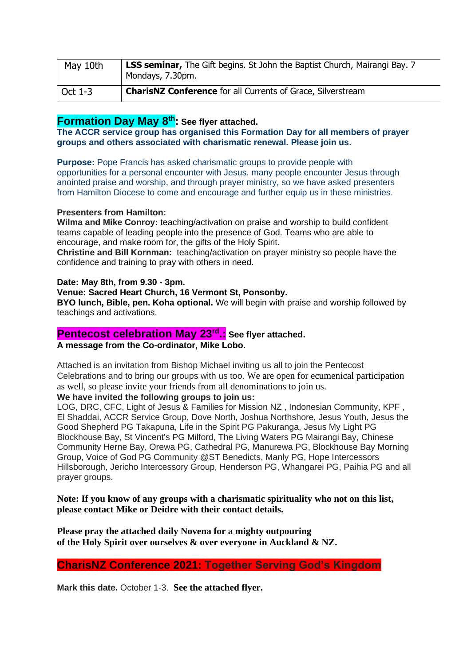| May 10th | <b>LSS seminar,</b> The Gift begins. St John the Baptist Church, Mairangi Bay. 7<br>Mondays, 7.30pm. |
|----------|------------------------------------------------------------------------------------------------------|
| Oct 1-3  | <b>CharisNZ Conference</b> for all Currents of Grace, Silverstream                                   |

# **Formation Day May 8th: See flyer attached.**

**The ACCR service group has organised this Formation Day for all members of prayer groups and others associated with charismatic renewal. Please join us.**

**Purpose:** Pope Francis has asked charismatic groups to provide people with opportunities for a personal encounter with Jesus. many people encounter Jesus through anointed praise and worship, and through prayer ministry, so we have asked presenters from Hamilton Diocese to come and encourage and further equip us in these ministries.

### **Presenters from Hamilton:**

**Wilma and Mike Conroy:** teaching/activation on praise and worship to build confident teams capable of leading people into the presence of God. Teams who are able to encourage, and make room for, the gifts of the Holy Spirit.

**Christine and Bill Kornman:** teaching/activation on prayer ministry so people have the confidence and training to pray with others in need.

### **Date: May 8th, from 9.30 - 3pm.**

## **Venue: Sacred Heart Church, 16 Vermont St, Ponsonby.**

**BYO lunch, Bible, pen. Koha optional.** We will begin with praise and worship followed by teachings and activations.

# **Pentecost celebration May 23rd .: See flyer attached.**

## **A message from the Co-ordinator, Mike Lobo.**

Attached is an invitation from Bishop Michael inviting us all to join the Pentecost Celebrations and to bring our groups with us too. We are open for ecumenical participation as well, so please invite your friends from all denominations to join us.

## **We have invited the following groups to join us:**

LOG, DRC, CFC, Light of Jesus & Families for Mission NZ , Indonesian Community, KPF , El Shaddai, ACCR Service Group, Dove North, Joshua Northshore, Jesus Youth, Jesus the Good Shepherd PG Takapuna, Life in the Spirit PG Pakuranga, Jesus My Light PG Blockhouse Bay, St Vincent's PG Milford, The Living Waters PG Mairangi Bay, Chinese Community Herne Bay, Orewa PG, Cathedral PG, Manurewa PG, Blockhouse Bay Morning Group, Voice of God PG Community @ST Benedicts, Manly PG, Hope Intercessors Hillsborough, Jericho Intercessory Group, Henderson PG, Whangarei PG, Paihia PG and all prayer groups.

**Note: If you know of any groups with a charismatic spirituality who not on this list, please contact Mike or Deidre with their contact details.**

**Please pray the attached daily Novena for a mighty outpouring of the Holy Spirit over ourselves & over everyone in Auckland & NZ.**

## **CharisNZ Conference 2021: Together Serving God's Kingdom**

**Mark this date.** October 1-3. **See the attached flyer.**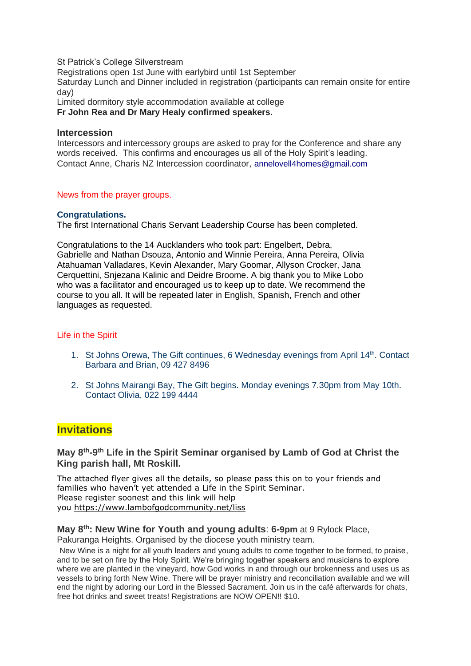St Patrick's College Silverstream

Registrations open 1st June with earlybird until 1st September

Saturday Lunch and Dinner included in registration (participants can remain onsite for entire day)

Limited dormitory style accommodation available at college **Fr John Rea and Dr Mary Healy confirmed speakers.**

#### **Intercession**

Intercessors and intercessory groups are asked to pray for the Conference and share any words received. This confirms and encourages us all of the Holy Spirit's leading. Contact Anne, Charis NZ Intercession coordinator, [annelovell4homes@gmail.com](mailto:annelovell4homes@gmail.com)

### News from the prayer groups.

### **Congratulations.**

The first International Charis Servant Leadership Course has been completed.

Congratulations to the 14 Aucklanders who took part: Engelbert, Debra, Gabrielle and Nathan Dsouza, Antonio and Winnie Pereira, Anna Pereira, Olivia Atahuaman Valladares, Kevin Alexander, Mary Goomar, Allyson Crocker, Jana Cerquettini, Snjezana Kalinic and Deidre Broome. A big thank you to Mike Lobo who was a facilitator and encouraged us to keep up to date. We recommend the course to you all. It will be repeated later in English, Spanish, French and other languages as requested.

## Life in the Spirit

- 1. St Johns Orewa, The Gift continues, 6 Wednesday evenings from April 14<sup>th</sup>. Contact Barbara and Brian, 09 427 8496
- 2. St Johns Mairangi Bay, The Gift begins. Monday evenings 7.30pm from May 10th. Contact Olivia, 022 199 4444

# **Invitations**

## **May 8th-9 th Life in the Spirit Seminar organised by Lamb of God at Christ the King parish hall, Mt Roskill.**

The attached flyer gives all the details, so please pass this on to your friends and families who haven't yet attended a Life in the Spirit Seminar. Please register soonest and this link will help you <https://www.lambofgodcommunity.net/liss>

## **May 8th : New Wine for Youth and young adults**: **6-9pm** at 9 Rylock Place,

Pakuranga Heights. Organised by the diocese youth ministry team.

New Wine is a night for all youth leaders and young adults to come together to be formed, to praise, and to be set on fire by the Holy Spirit. We're bringing together speakers and musicians to explore where we are planted in the vineyard, how God works in and through our brokenness and uses us as vessels to bring forth New Wine. There will be prayer ministry and reconciliation available and we will end the night by adoring our Lord in the Blessed Sacrament. Join us in the café afterwards for chats, free hot drinks and sweet treats! Registrations are NOW OPEN!! \$10.